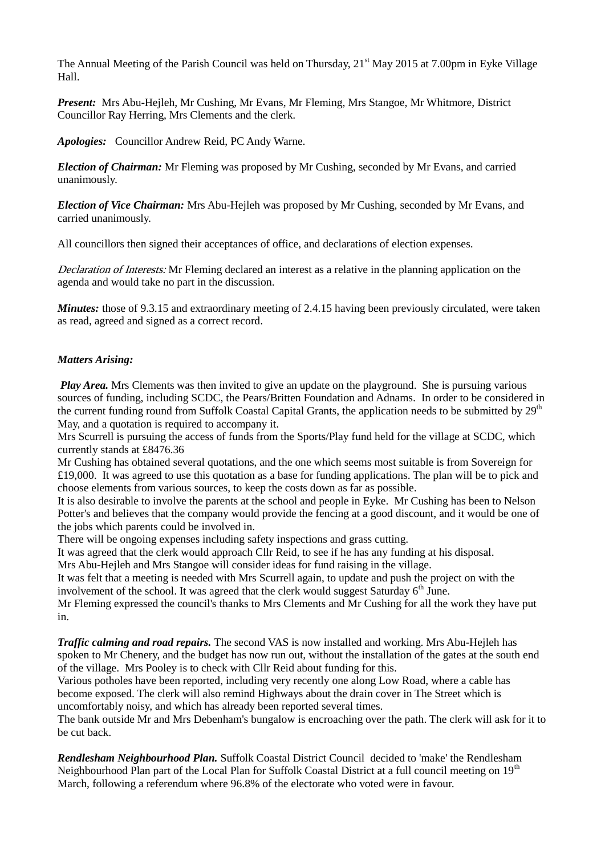The Annual Meeting of the Parish Council was held on Thursday, 21<sup>st</sup> May 2015 at 7.00pm in Eyke Village Hall.

*Present:* Mrs Abu-Hejleh, Mr Cushing, Mr Evans, Mr Fleming, Mrs Stangoe, Mr Whitmore, District Councillor Ray Herring, Mrs Clements and the clerk.

*Apologies:* Councillor Andrew Reid, PC Andy Warne.

*Election of Chairman:* Mr Fleming was proposed by Mr Cushing, seconded by Mr Evans, and carried unanimously.

*Election of Vice Chairman:* Mrs Abu-Hejleh was proposed by Mr Cushing, seconded by Mr Evans, and carried unanimously.

All councillors then signed their acceptances of office, and declarations of election expenses.

Declaration of Interests: Mr Fleming declared an interest as a relative in the planning application on the agenda and would take no part in the discussion.

*Minutes:* those of 9.3.15 and extraordinary meeting of 2.4.15 having been previously circulated, were taken as read, agreed and signed as a correct record.

## *Matters Arising:*

*Play Area.* Mrs Clements was then invited to give an update on the playground. She is pursuing various sources of funding, including SCDC, the Pears/Britten Foundation and Adnams. In order to be considered in the current funding round from Suffolk Coastal Capital Grants, the application needs to be submitted by  $29<sup>th</sup>$ May, and a quotation is required to accompany it.

Mrs Scurrell is pursuing the access of funds from the Sports/Play fund held for the village at SCDC, which currently stands at £8476.36

Mr Cushing has obtained several quotations, and the one which seems most suitable is from Sovereign for £19,000. It was agreed to use this quotation as a base for funding applications. The plan will be to pick and choose elements from various sources, to keep the costs down as far as possible.

It is also desirable to involve the parents at the school and people in Eyke. Mr Cushing has been to Nelson Potter's and believes that the company would provide the fencing at a good discount, and it would be one of the jobs which parents could be involved in.

There will be ongoing expenses including safety inspections and grass cutting.

It was agreed that the clerk would approach Cllr Reid, to see if he has any funding at his disposal.

Mrs Abu-Hejleh and Mrs Stangoe will consider ideas for fund raising in the village.

It was felt that a meeting is needed with Mrs Scurrell again, to update and push the project on with the involvement of the school. It was agreed that the clerk would suggest Saturday  $6<sup>th</sup>$  June.

Mr Fleming expressed the council's thanks to Mrs Clements and Mr Cushing for all the work they have put in.

*Traffic calming and road repairs.* The second VAS is now installed and working. Mrs Abu-Hejleh has spoken to Mr Chenery, and the budget has now run out, without the installation of the gates at the south end of the village. Mrs Pooley is to check with Cllr Reid about funding for this.

Various potholes have been reported, including very recently one along Low Road, where a cable has become exposed. The clerk will also remind Highways about the drain cover in The Street which is uncomfortably noisy, and which has already been reported several times.

The bank outside Mr and Mrs Debenham's bungalow is encroaching over the path. The clerk will ask for it to be cut back.

*Rendlesham Neighbourhood Plan.* Suffolk Coastal District Council decided to 'make' the Rendlesham Neighbourhood Plan part of the Local Plan for Suffolk Coastal District at a full council meeting on 19<sup>th</sup> March, following a referendum where 96.8% of the electorate who voted were in favour.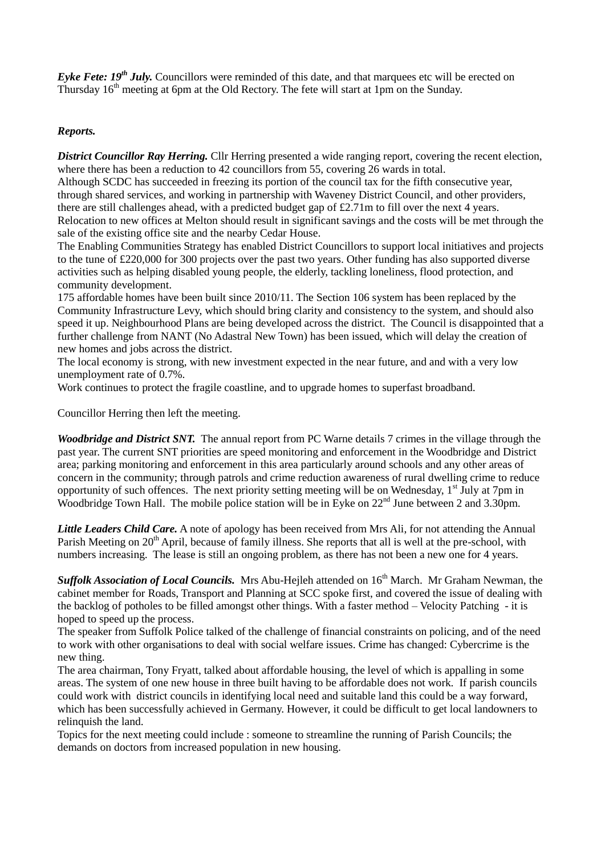*Eyke Fete: 19<sup>th</sup> July.* Councillors were reminded of this date, and that marquees etc will be erected on Thursday 16<sup>th</sup> meeting at 6pm at the Old Rectory. The fete will start at 1pm on the Sunday.

### *Reports.*

*District Councillor Ray Herring.* Cllr Herring presented a wide ranging report, covering the recent election, where there has been a reduction to 42 councillors from 55, covering 26 wards in total.

Although SCDC has succeeded in freezing its portion of the council tax for the fifth consecutive year, through shared services, and working in partnership with Waveney District Council, and other providers, there are still challenges ahead, with a predicted budget gap of £2.71m to fill over the next 4 years. Relocation to new offices at Melton should result in significant savings and the costs will be met through the sale of the existing office site and the nearby Cedar House.

The Enabling Communities Strategy has enabled District Councillors to support local initiatives and projects to the tune of £220,000 for 300 projects over the past two years. Other funding has also supported diverse activities such as helping disabled young people, the elderly, tackling loneliness, flood protection, and community development.

175 affordable homes have been built since 2010/11. The Section 106 system has been replaced by the Community Infrastructure Levy, which should bring clarity and consistency to the system, and should also speed it up. Neighbourhood Plans are being developed across the district. The Council is disappointed that a further challenge from NANT (No Adastral New Town) has been issued, which will delay the creation of new homes and jobs across the district.

The local economy is strong, with new investment expected in the near future, and and with a very low unemployment rate of 0.7%.

Work continues to protect the fragile coastline, and to upgrade homes to superfast broadband.

Councillor Herring then left the meeting.

*Woodbridge and District SNT.* The annual report from PC Warne details 7 crimes in the village through the past year. The current SNT priorities are speed monitoring and enforcement in the Woodbridge and District area; parking monitoring and enforcement in this area particularly around schools and any other areas of concern in the community; through patrols and crime reduction awareness of rural dwelling crime to reduce opportunity of such offences. The next priority setting meeting will be on Wednesday,  $1<sup>st</sup>$  July at 7pm in Woodbridge Town Hall. The mobile police station will be in Eyke on 22<sup>nd</sup> June between 2 and 3.30pm.

*Little Leaders Child Care.* A note of apology has been received from Mrs Ali, for not attending the Annual Parish Meeting on 20<sup>th</sup> April, because of family illness. She reports that all is well at the pre-school, with numbers increasing. The lease is still an ongoing problem, as there has not been a new one for 4 years.

**Suffolk Association of Local Councils.** Mrs Abu-Hejleh attended on 16<sup>th</sup> March. Mr Graham Newman, the cabinet member for Roads, Transport and Planning at SCC spoke first, and covered the issue of dealing with the backlog of potholes to be filled amongst other things. With a faster method – Velocity Patching - it is hoped to speed up the process.

The speaker from Suffolk Police talked of the challenge of financial constraints on policing, and of the need to work with other organisations to deal with social welfare issues. Crime has changed: Cybercrime is the new thing.

The area chairman, Tony Fryatt, talked about affordable housing, the level of which is appalling in some areas. The system of one new house in three built having to be affordable does not work. If parish councils could work with district councils in identifying local need and suitable land this could be a way forward, which has been successfully achieved in Germany. However, it could be difficult to get local landowners to relinquish the land.

Topics for the next meeting could include : someone to streamline the running of Parish Councils; the demands on doctors from increased population in new housing.